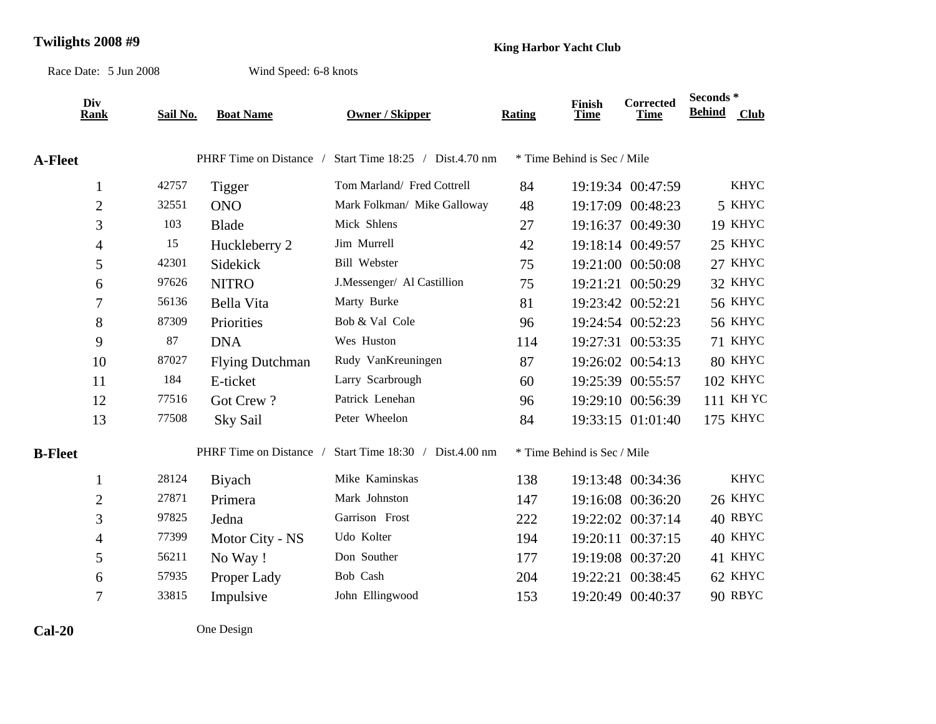## **Twilights 2008 #9 King Harbor Yacht Club**

Race Date: 5 Jun 2008

Wind Speed: 6-8 knots

| Div<br><b>Rank</b> | Sail No. | <b>Boat Name</b>        | <b>Owner / Skipper</b>          | Rating | <b>Finish</b><br><b>Time</b> | Corrected<br><b>Time</b> | Seconds*<br><b>Behind</b> | <b>Club</b> |
|--------------------|----------|-------------------------|---------------------------------|--------|------------------------------|--------------------------|---------------------------|-------------|
|                    |          |                         |                                 |        |                              |                          |                           |             |
| <b>A-Fleet</b>     |          | PHRF Time on Distance / | Start Time 18:25 / Dist.4.70 nm |        | * Time Behind is Sec / Mile  |                          |                           |             |
| $\mathbf{1}$       | 42757    | Tigger                  | Tom Marland/ Fred Cottrell      | 84     |                              | 19:19:34 00:47:59        |                           | <b>KHYC</b> |
| $\overline{c}$     | 32551    | <b>ONO</b>              | Mark Folkman/ Mike Galloway     | 48     |                              | 19:17:09 00:48:23        |                           | 5 KHYC      |
| 3                  | 103      | <b>Blade</b>            | Mick Shlens                     | 27     |                              | 19:16:37 00:49:30        |                           | 19 KHYC     |
| $\overline{4}$     | 15       | Huckleberry 2           | Jim Murrell                     | 42     |                              | 19:18:14 00:49:57        |                           | 25 KHYC     |
| 5                  | 42301    | Sidekick                | <b>Bill Webster</b>             | 75     |                              | 19:21:00 00:50:08        |                           | 27 KHYC     |
| 6                  | 97626    | <b>NITRO</b>            | J.Messenger/ Al Castillion      | 75     |                              | 19:21:21 00:50:29        |                           | 32 KHYC     |
| 7                  | 56136    | <b>Bella Vita</b>       | Marty Burke                     | 81     |                              | 19:23:42 00:52:21        |                           | 56 KHYC     |
| 8                  | 87309    | Priorities              | Bob & Val Cole                  | 96     |                              | 19:24:54 00:52:23        |                           | 56 KHYC     |
| 9                  | 87       | <b>DNA</b>              | Wes Huston                      | 114    |                              | 19:27:31 00:53:35        |                           | 71 KHYC     |
| 10                 | 87027    | <b>Flying Dutchman</b>  | Rudy VanKreuningen              | 87     |                              | 19:26:02 00:54:13        |                           | 80 KHYC     |
| 11                 | 184      | E-ticket                | Larry Scarbrough                | 60     |                              | 19:25:39 00:55:57        |                           | 102 KHYC    |
| 12                 | 77516    | Got Crew?               | Patrick Lenehan                 | 96     |                              | 19:29:10 00:56:39        |                           | 111 KH YC   |
| 13                 | 77508    | <b>Sky Sail</b>         | Peter Wheelon                   | 84     |                              | 19:33:15 01:01:40        |                           | 175 KHYC    |
| <b>B-Fleet</b>     |          | PHRF Time on Distance   | Start Time 18:30 / Dist.4.00 nm |        | * Time Behind is Sec / Mile  |                          |                           |             |
| 1                  | 28124    | Biyach                  | Mike Kaminskas                  | 138    |                              | 19:13:48 00:34:36        |                           | <b>KHYC</b> |
| $\overline{2}$     | 27871    | Primera                 | Mark Johnston                   | 147    |                              | 19:16:08 00:36:20        |                           | 26 KHYC     |
| 3                  | 97825    | Jedna                   | Garrison Frost                  | 222    |                              | 19:22:02 00:37:14        |                           | 40 RBYC     |
| $\overline{4}$     | 77399    | Motor City - NS         | Udo Kolter                      | 194    | 19:20:11                     | 00:37:15                 |                           | 40 KHYC     |
| 5                  | 56211    | No Way!                 | Don Souther                     | 177    |                              | 19:19:08 00:37:20        |                           | 41 KHYC     |
| 6                  | 57935    | Proper Lady             | Bob Cash                        | 204    |                              | 19:22:21 00:38:45        |                           | 62 KHYC     |
| $\tau$             | 33815    | Impulsive               | John Ellingwood                 | 153    | 19:20:49                     | 00:40:37                 |                           | 90 RBYC     |

**Cal-20**

One Design